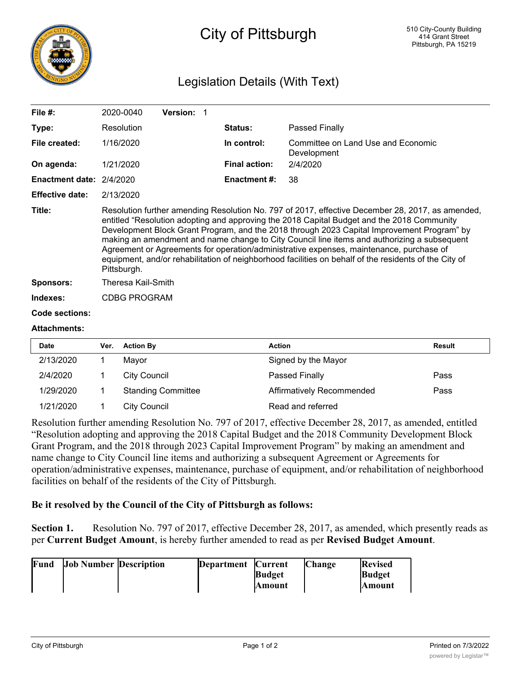

## City of Pittsburgh

## Legislation Details (With Text)

| File $#$ :                      | 2020-0040                                                                                                                                                                                                                                                                                                                                                                                                                                                                                                                                                                                                      | <b>Version: 1</b> |                      |                                                   |
|---------------------------------|----------------------------------------------------------------------------------------------------------------------------------------------------------------------------------------------------------------------------------------------------------------------------------------------------------------------------------------------------------------------------------------------------------------------------------------------------------------------------------------------------------------------------------------------------------------------------------------------------------------|-------------------|----------------------|---------------------------------------------------|
| Type:                           | Resolution                                                                                                                                                                                                                                                                                                                                                                                                                                                                                                                                                                                                     |                   | <b>Status:</b>       | Passed Finally                                    |
| File created:                   | 1/16/2020                                                                                                                                                                                                                                                                                                                                                                                                                                                                                                                                                                                                      |                   | In control:          | Committee on Land Use and Economic<br>Development |
| On agenda:                      | 1/21/2020                                                                                                                                                                                                                                                                                                                                                                                                                                                                                                                                                                                                      |                   | <b>Final action:</b> | 2/4/2020                                          |
| <b>Enactment date: 2/4/2020</b> |                                                                                                                                                                                                                                                                                                                                                                                                                                                                                                                                                                                                                |                   | <b>Enactment #:</b>  | 38                                                |
| <b>Effective date:</b>          | 2/13/2020                                                                                                                                                                                                                                                                                                                                                                                                                                                                                                                                                                                                      |                   |                      |                                                   |
| Title:                          | Resolution further amending Resolution No. 797 of 2017, effective December 28, 2017, as amended,<br>entitled "Resolution adopting and approving the 2018 Capital Budget and the 2018 Community<br>Development Block Grant Program, and the 2018 through 2023 Capital Improvement Program" by<br>making an amendment and name change to City Council line items and authorizing a subsequent<br>Agreement or Agreements for operation/administrative expenses, maintenance, purchase of<br>equipment, and/or rehabilitation of neighborhood facilities on behalf of the residents of the City of<br>Pittsburgh. |                   |                      |                                                   |
| Sponsors:                       | Theresa Kail-Smith                                                                                                                                                                                                                                                                                                                                                                                                                                                                                                                                                                                             |                   |                      |                                                   |
| Indexes:                        | <b>CDBG PROGRAM</b>                                                                                                                                                                                                                                                                                                                                                                                                                                                                                                                                                                                            |                   |                      |                                                   |
| <b>Code sections:</b>           |                                                                                                                                                                                                                                                                                                                                                                                                                                                                                                                                                                                                                |                   |                      |                                                   |
| <b>Attachments:</b>             |                                                                                                                                                                                                                                                                                                                                                                                                                                                                                                                                                                                                                |                   |                      |                                                   |

| <b>Date</b> | Ver. | <b>Action By</b>          | <b>Action</b>             | <b>Result</b> |
|-------------|------|---------------------------|---------------------------|---------------|
| 2/13/2020   |      | Mavor                     | Signed by the Mayor       |               |
| 2/4/2020    |      | City Council              | Passed Finally            | Pass          |
| 1/29/2020   |      | <b>Standing Committee</b> | Affirmatively Recommended | Pass          |
| 1/21/2020   |      | <b>City Council</b>       | Read and referred         |               |

Resolution further amending Resolution No. 797 of 2017, effective December 28, 2017, as amended, entitled "Resolution adopting and approving the 2018 Capital Budget and the 2018 Community Development Block Grant Program, and the 2018 through 2023 Capital Improvement Program" by making an amendment and name change to City Council line items and authorizing a subsequent Agreement or Agreements for operation/administrative expenses, maintenance, purchase of equipment, and/or rehabilitation of neighborhood facilities on behalf of the residents of the City of Pittsburgh.

## **Be it resolved by the Council of the City of Pittsburgh as follows:**

ATHLETIC COMPANY

Section 1. Resolution No. 797 of 2017, effective December 28, 2017, as amended, which presently reads as per **Current Budget Amount**, is hereby further amended to read as per **Revised Budget Amount**.

| Fund | <b>Job Number Description</b> | Department Current |                | <b>Change</b> | <b>Revised</b> |
|------|-------------------------------|--------------------|----------------|---------------|----------------|
|      |                               |                    | <b>Budget</b>  |               | Budget         |
|      |                               |                    | <b>IAmount</b> |               | <b>Amount</b>  |